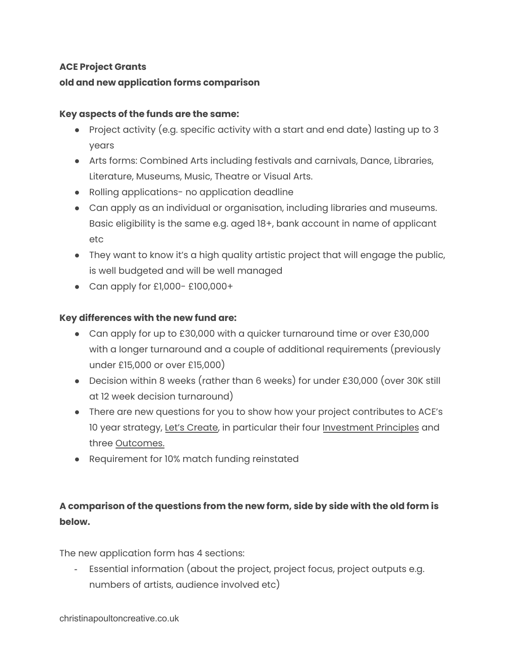# **ACE Project Grants old and new application forms comparison**

### **Key aspects of the funds are the same:**

- Project activity (e.g. specific activity with a start and end date) lasting up to 3 years
- Arts forms: Combined Arts including festivals and carnivals, Dance, Libraries, Literature, Museums, Music, Theatre or Visual Arts.
- Rolling applications- no application deadline
- Can apply as an individual or organisation, including libraries and museums. Basic eligibility is the same e.g. aged 18+, bank account in name of applicant etc
- They want to know it's a high quality artistic project that will engage the public, is well budgeted and will be well managed
- Can apply for £1,000- £100,000+

### **Key differences with the new fund are:**

- Can apply for up to £30,000 with a quicker turnaround time or over £30,000 with a longer turnaround and a couple of additional requirements (previously under £15,000 or over £15,000)
- Decision within 8 weeks (rather than 6 weeks) for under £30,000 (over 30K still at 12 week decision turnaround)
- There are new questions for you to show how your project contributes to ACE's 10 year strategy, Let's [Create,](https://www.artscouncil.org.uk/lets-create/strategy-2020-2030) in particular their four [Investment](https://www.artscouncil.org.uk/our-investment-principles) Principles and three [Outcomes.](https://www.artscouncil.org.uk/outcomes-0)
- Requirement for 10% match funding reinstated

# **A comparison of the questions from the new form, side by side with the old form is below.**

The new application form has 4 sections:

- Essential information (about the project, project focus, project outputs e.g. numbers of artists, audience involved etc)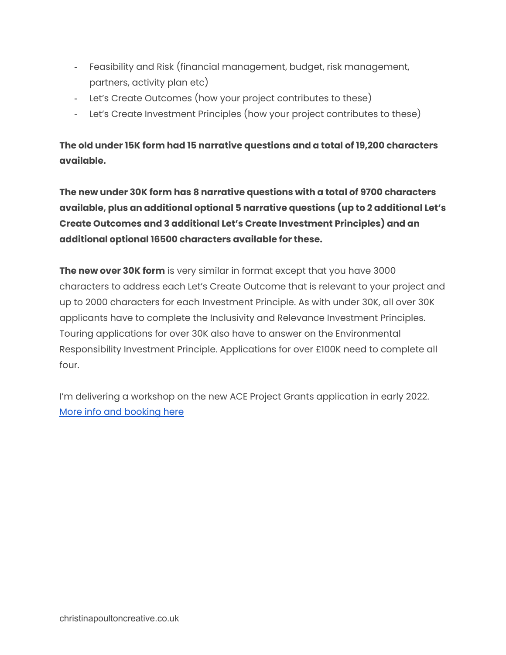- Feasibility and Risk (financial management, budget, risk management, partners, activity plan etc)
- Let's Create Outcomes (how your project contributes to these)
- Let's Create Investment Principles (how your project contributes to these)

**The old under 15K form had 15 narrative questions and a total of 19,200 characters available.**

**The new under 30K form has 8 narrative questions with a total of 9700 characters available, plus an additional optional 5 narrative questions (up to 2 additional Let's Create Outcomes and 3 additional Let's Create Investment Principles) and an additional optional 16500 characters available for these.**

**The new over 30K form** is very similar in format except that you have 3000 characters to address each Let's Create Outcome that is relevant to your project and up to 2000 characters for each Investment Principle. As with under 30K, all over 30K applicants have to complete the Inclusivity and Relevance Investment Principles. Touring applications for over 30K also have to answer on the Environmental Responsibility Investment Principle. Applications for over £100K need to complete all four.

I'm delivering a workshop on the new ACE Project Grants application in early 2022. More info and [booking](https://www.eventbrite.co.uk/e/getting-to-grips-with-the-new-ace-project-grants-tickets-211272771547) here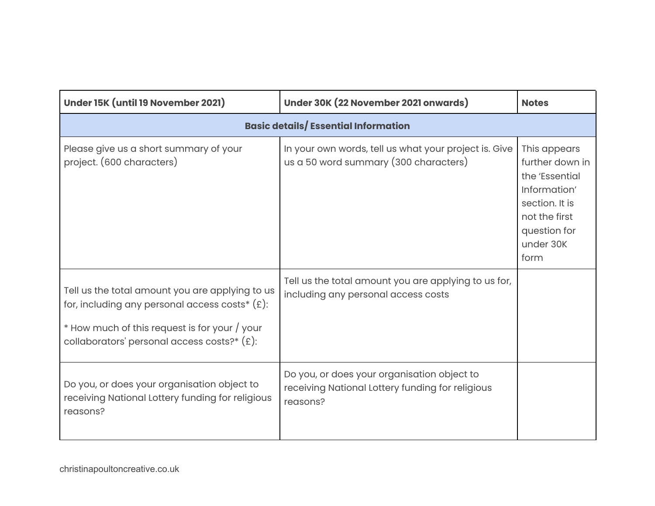| Under 15K (until 19 November 2021)                                                                                                                                                                     | Under 30K (22 November 2021 onwards)                                                                        | <b>Notes</b>                                                                                                                              |
|--------------------------------------------------------------------------------------------------------------------------------------------------------------------------------------------------------|-------------------------------------------------------------------------------------------------------------|-------------------------------------------------------------------------------------------------------------------------------------------|
| <b>Basic details/Essential Information</b>                                                                                                                                                             |                                                                                                             |                                                                                                                                           |
| Please give us a short summary of your<br>project. (600 characters)                                                                                                                                    | In your own words, tell us what your project is. Give<br>us a 50 word summary (300 characters)              | This appears<br>further down in<br>the 'Essential<br>Information'<br>section. It is<br>not the first<br>question for<br>under 30K<br>form |
| Tell us the total amount you are applying to us<br>for, including any personal access costs* $(E)$ :<br>$*$ How much of this request is for your / your<br>collaborators' personal access costs?* (£): | Tell us the total amount you are applying to us for,<br>including any personal access costs                 |                                                                                                                                           |
| Do you, or does your organisation object to<br>receiving National Lottery funding for religious<br>reasons?                                                                                            | Do you, or does your organisation object to<br>receiving National Lottery funding for religious<br>reasons? |                                                                                                                                           |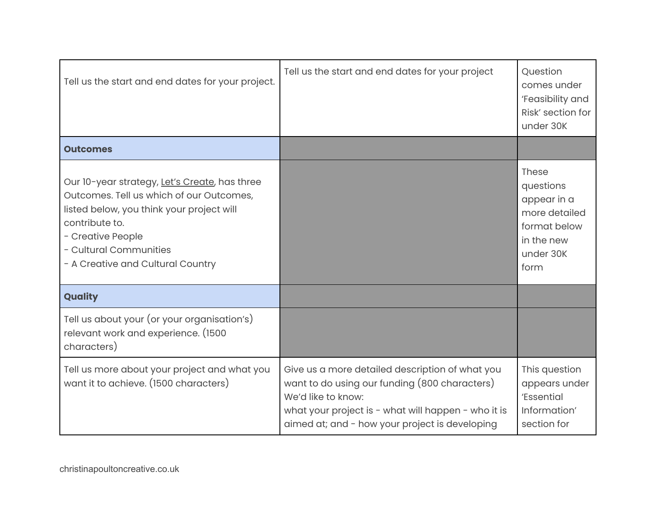| Tell us the start and end dates for your project.                                                                                                                                                                                            | Tell us the start and end dates for your project                                                                                                                                                                                | Question<br>comes under<br>'Feasibility and<br>Risk' section for<br>under 30K                                |
|----------------------------------------------------------------------------------------------------------------------------------------------------------------------------------------------------------------------------------------------|---------------------------------------------------------------------------------------------------------------------------------------------------------------------------------------------------------------------------------|--------------------------------------------------------------------------------------------------------------|
| <b>Outcomes</b>                                                                                                                                                                                                                              |                                                                                                                                                                                                                                 |                                                                                                              |
| Our 10-year strategy, Let's Create, has three<br>Outcomes. Tell us which of our Outcomes,<br>listed below, you think your project will<br>contribute to.<br>- Creative People<br>- Cultural Communities<br>- A Creative and Cultural Country |                                                                                                                                                                                                                                 | <b>These</b><br>questions<br>appear in a<br>more detailed<br>format below<br>in the new<br>under 30K<br>form |
| Quality                                                                                                                                                                                                                                      |                                                                                                                                                                                                                                 |                                                                                                              |
| Tell us about your (or your organisation's)<br>relevant work and experience. (1500<br>characters)                                                                                                                                            |                                                                                                                                                                                                                                 |                                                                                                              |
| Tell us more about your project and what you<br>want it to achieve. (1500 characters)                                                                                                                                                        | Give us a more detailed description of what you<br>want to do using our funding (800 characters)<br>We'd like to know:<br>what your project is - what will happen - who it is<br>aimed at; and - how your project is developing | This question<br>appears under<br>'Essential<br>Information'<br>section for                                  |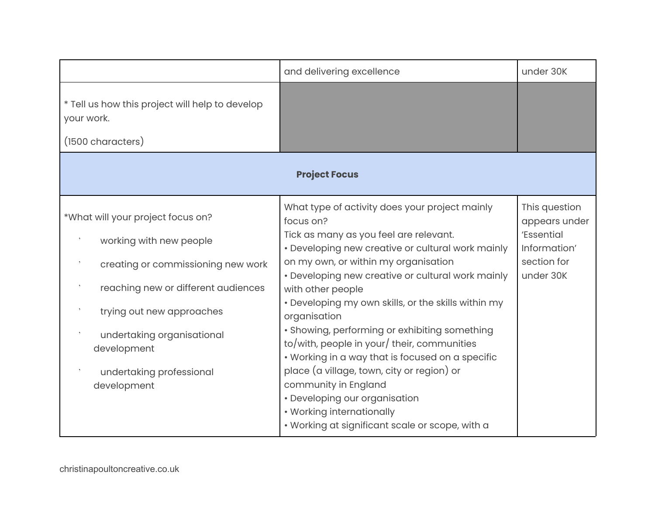|                                                                                    | and delivering excellence                                                                                                                                                           | under 30K                      |
|------------------------------------------------------------------------------------|-------------------------------------------------------------------------------------------------------------------------------------------------------------------------------------|--------------------------------|
| * Tell us how this project will help to develop<br>your work.<br>(1500 characters) |                                                                                                                                                                                     |                                |
| <b>Project Focus</b>                                                               |                                                                                                                                                                                     |                                |
| *What will your project focus on?                                                  | What type of activity does your project mainly<br>focus on?                                                                                                                         | This question<br>appears under |
| working with new people                                                            | Tick as many as you feel are relevant.<br>• Developing new creative or cultural work mainly                                                                                         | 'Essential<br>Information'     |
| creating or commissioning new work                                                 | on my own, or within my organisation<br>• Developing new creative or cultural work mainly                                                                                           | section for<br>under 30K       |
| reaching new or different audiences                                                | with other people                                                                                                                                                                   |                                |
| trying out new approaches                                                          | • Developing my own skills, or the skills within my<br>organisation                                                                                                                 |                                |
| undertaking organisational<br>development                                          | • Showing, performing or exhibiting something<br>to/with, people in your/ their, communities<br>• Working in a way that is focused on a specific                                    |                                |
| undertaking professional<br>development                                            | place (a village, town, city or region) or<br>community in England<br>• Developing our organisation<br>• Working internationally<br>• Working at significant scale or scope, with a |                                |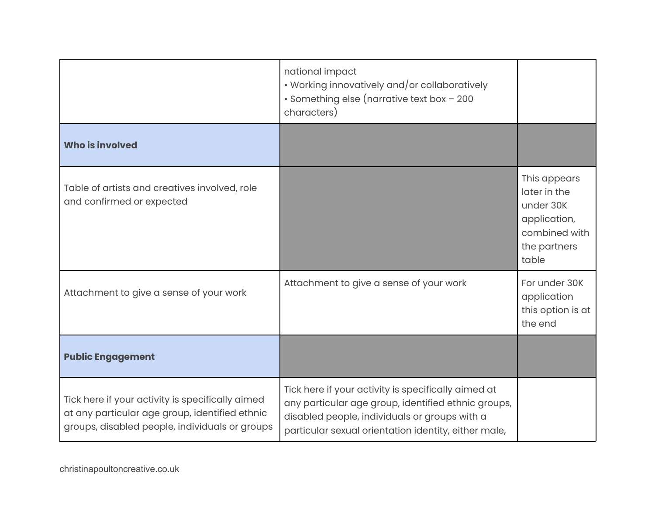|                                                                                                                                                      | national impact<br>• Working innovatively and/or collaboratively<br>· Something else (narrative text box - 200<br>characters)                                                                                       |                                                                                                     |
|------------------------------------------------------------------------------------------------------------------------------------------------------|---------------------------------------------------------------------------------------------------------------------------------------------------------------------------------------------------------------------|-----------------------------------------------------------------------------------------------------|
| <b>Who is involved</b>                                                                                                                               |                                                                                                                                                                                                                     |                                                                                                     |
| Table of artists and creatives involved, role<br>and confirmed or expected                                                                           |                                                                                                                                                                                                                     | This appears<br>later in the<br>under 30K<br>application,<br>combined with<br>the partners<br>table |
| Attachment to give a sense of your work                                                                                                              | Attachment to give a sense of your work                                                                                                                                                                             | For under 30K<br>application<br>this option is at<br>the end                                        |
| <b>Public Engagement</b>                                                                                                                             |                                                                                                                                                                                                                     |                                                                                                     |
| Tick here if your activity is specifically aimed<br>at any particular age group, identified ethnic<br>groups, disabled people, individuals or groups | Tick here if your activity is specifically aimed at<br>any particular age group, identified ethnic groups,<br>disabled people, individuals or groups with a<br>particular sexual orientation identity, either male, |                                                                                                     |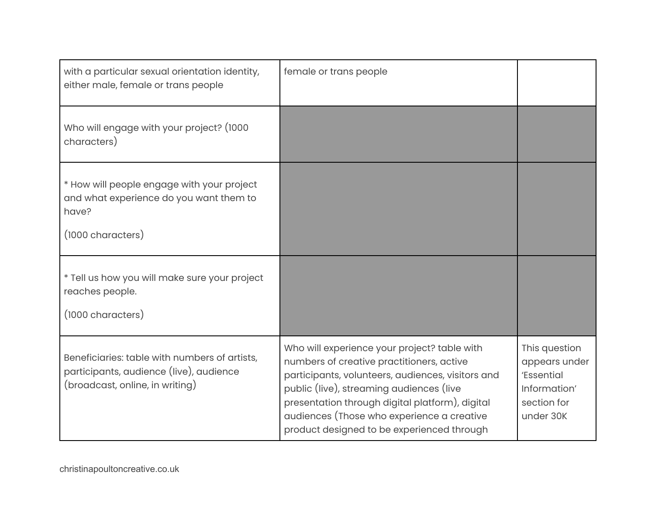| with a particular sexual orientation identity,<br>either male, female or trans people                                       | female or trans people                                                                                                                                                                                                                                                                                                                    |                                                                                          |
|-----------------------------------------------------------------------------------------------------------------------------|-------------------------------------------------------------------------------------------------------------------------------------------------------------------------------------------------------------------------------------------------------------------------------------------------------------------------------------------|------------------------------------------------------------------------------------------|
| Who will engage with your project? (1000<br>characters)                                                                     |                                                                                                                                                                                                                                                                                                                                           |                                                                                          |
| * How will people engage with your project<br>and what experience do you want them to<br>have?<br>(1000 characters)         |                                                                                                                                                                                                                                                                                                                                           |                                                                                          |
| * Tell us how you will make sure your project<br>reaches people.<br>(1000 characters)                                       |                                                                                                                                                                                                                                                                                                                                           |                                                                                          |
| Beneficiaries: table with numbers of artists,<br>participants, audience (live), audience<br>(broadcast, online, in writing) | Who will experience your project? table with<br>numbers of creative practitioners, active<br>participants, volunteers, audiences, visitors and<br>public (live), streaming audiences (live<br>presentation through digital platform), digital<br>audiences (Those who experience a creative<br>product designed to be experienced through | This question<br>appears under<br>'Essential<br>Information'<br>section for<br>under 30K |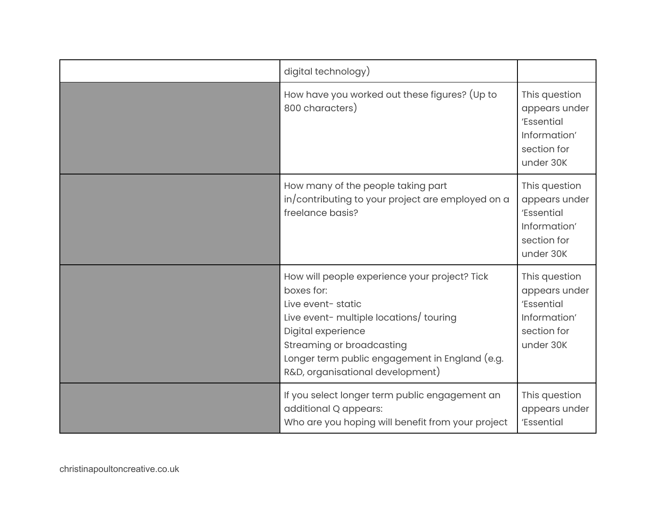| digital technology)                                                                                                                                                                                                                                                  |                                                                                          |
|----------------------------------------------------------------------------------------------------------------------------------------------------------------------------------------------------------------------------------------------------------------------|------------------------------------------------------------------------------------------|
| How have you worked out these figures? (Up to<br>800 characters)                                                                                                                                                                                                     | This question<br>appears under<br>'Essential<br>Information'<br>section for<br>under 30K |
| How many of the people taking part<br>in/contributing to your project are employed on a<br>freelance basis?                                                                                                                                                          | This question<br>appears under<br>'Essential<br>Information'<br>section for<br>under 30K |
| How will people experience your project? Tick<br>boxes for:<br>Live event-static<br>Live event- multiple locations/ touring<br>Digital experience<br>Streaming or broadcasting<br>Longer term public engagement in England (e.g.<br>R&D, organisational development) | This question<br>appears under<br>'Essential<br>Information'<br>section for<br>under 30K |
| If you select longer term public engagement an<br>additional Q appears:<br>Who are you hoping will benefit from your project                                                                                                                                         | This question<br>appears under<br>'Essential                                             |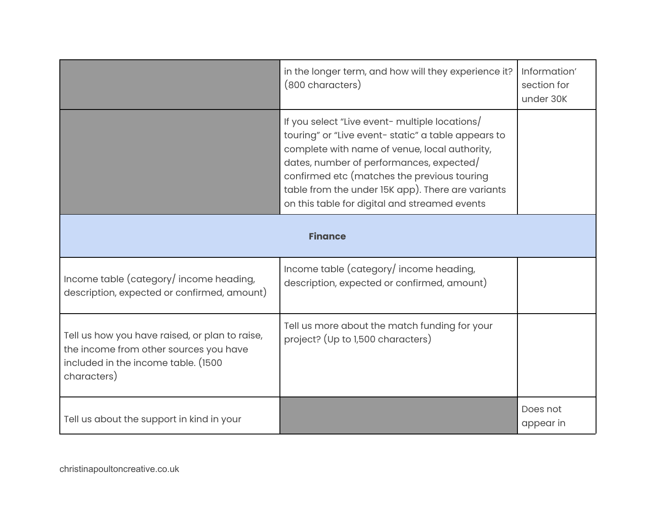|                                                                                                                                                | in the longer term, and how will they experience it?<br>(800 characters)                                                                                                                                                                                                                                                                                | Information'<br>section for<br>under 30K |
|------------------------------------------------------------------------------------------------------------------------------------------------|---------------------------------------------------------------------------------------------------------------------------------------------------------------------------------------------------------------------------------------------------------------------------------------------------------------------------------------------------------|------------------------------------------|
|                                                                                                                                                | If you select "Live event- multiple locations/<br>touring" or "Live event- static" a table appears to<br>complete with name of venue, local authority,<br>dates, number of performances, expected/<br>confirmed etc (matches the previous touring<br>table from the under 15K app). There are variants<br>on this table for digital and streamed events |                                          |
| <b>Finance</b>                                                                                                                                 |                                                                                                                                                                                                                                                                                                                                                         |                                          |
| Income table (category/income heading,<br>description, expected or confirmed, amount)                                                          | Income table (category/income heading,<br>description, expected or confirmed, amount)                                                                                                                                                                                                                                                                   |                                          |
| Tell us how you have raised, or plan to raise,<br>the income from other sources you have<br>included in the income table. (1500<br>characters) | Tell us more about the match funding for your<br>project? (Up to 1,500 characters)                                                                                                                                                                                                                                                                      |                                          |
| Tell us about the support in kind in your                                                                                                      |                                                                                                                                                                                                                                                                                                                                                         | Does not<br>appear in                    |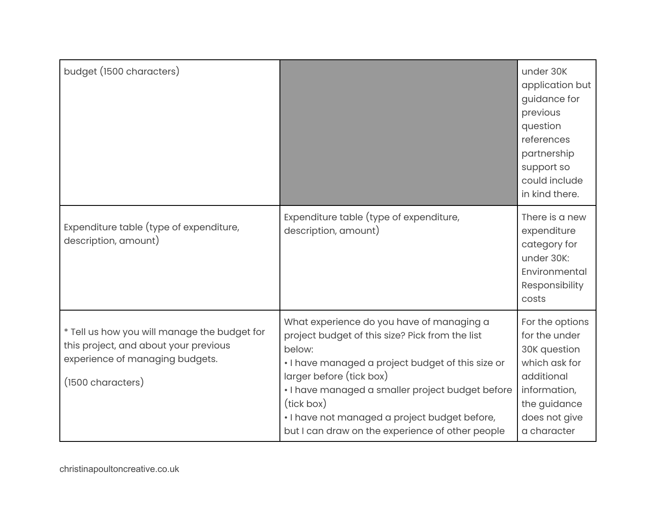| budget (1500 characters)                                                                                                                      |                                                                                                                                                                                                                                                                                                                                                                | under 30K<br>application but<br>guidance for<br>previous<br>question<br>references<br>partnership<br>support so<br>could include<br>in kind there. |
|-----------------------------------------------------------------------------------------------------------------------------------------------|----------------------------------------------------------------------------------------------------------------------------------------------------------------------------------------------------------------------------------------------------------------------------------------------------------------------------------------------------------------|----------------------------------------------------------------------------------------------------------------------------------------------------|
| Expenditure table (type of expenditure,<br>description, amount)                                                                               | Expenditure table (type of expenditure,<br>description, amount)                                                                                                                                                                                                                                                                                                | There is a new<br>expenditure<br>category for<br>under 30K:<br>Environmental<br>Responsibility<br>costs                                            |
| * Tell us how you will manage the budget for<br>this project, and about your previous<br>experience of managing budgets.<br>(1500 characters) | What experience do you have of managing a<br>project budget of this size? Pick from the list<br>below:<br>. I have managed a project budget of this size or<br>larger before (tick box)<br>· I have managed a smaller project budget before<br>(tick box)<br>· I have not managed a project budget before,<br>but I can draw on the experience of other people | For the options<br>for the under<br>30K question<br>which ask for<br>additional<br>information,<br>the guidance<br>does not give<br>a character    |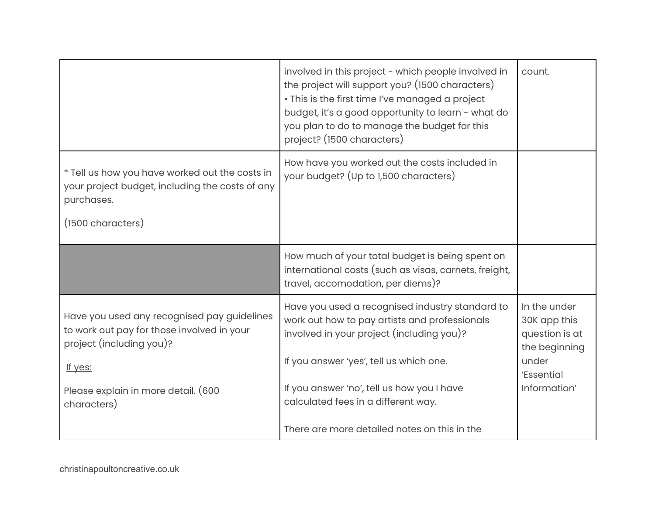|                                                                                                                                                                         | involved in this project - which people involved in<br>the project will support you? (1500 characters)<br>· This is the first time I've managed a project<br>budget, it's a good opportunity to learn - what do<br>you plan to do to manage the budget for this<br>project? (1500 characters) | count.                                                                                                 |
|-------------------------------------------------------------------------------------------------------------------------------------------------------------------------|-----------------------------------------------------------------------------------------------------------------------------------------------------------------------------------------------------------------------------------------------------------------------------------------------|--------------------------------------------------------------------------------------------------------|
| * Tell us how you have worked out the costs in<br>your project budget, including the costs of any<br>purchases.<br>(1500 characters)                                    | How have you worked out the costs included in<br>your budget? (Up to 1,500 characters)                                                                                                                                                                                                        |                                                                                                        |
|                                                                                                                                                                         | How much of your total budget is being spent on<br>international costs (such as visas, carnets, freight,<br>travel, accomodation, per diems)?                                                                                                                                                 |                                                                                                        |
| Have you used any recognised pay guidelines<br>to work out pay for those involved in your<br>project (including you)?<br>If yes:<br>Please explain in more detail. (600 | Have you used a recognised industry standard to<br>work out how to pay artists and professionals<br>involved in your project (including you)?<br>If you answer 'yes', tell us which one.<br>If you answer 'no', tell us how you I have                                                        | In the under<br>30K app this<br>question is at<br>the beginning<br>under<br>'Essential<br>Information' |
| characters)                                                                                                                                                             | calculated fees in a different way.<br>There are more detailed notes on this in the                                                                                                                                                                                                           |                                                                                                        |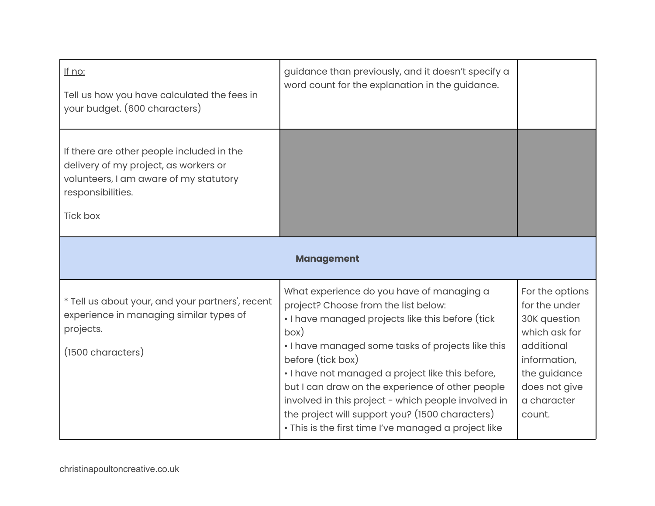| If no:<br>Tell us how you have calculated the fees in<br>your budget. (600 characters)                                                                               | guidance than previously, and it doesn't specify a<br>word count for the explanation in the guidance.                                                                                                                                                                                                                                                                                                                                                                                             |                                                                                                                                                           |
|----------------------------------------------------------------------------------------------------------------------------------------------------------------------|---------------------------------------------------------------------------------------------------------------------------------------------------------------------------------------------------------------------------------------------------------------------------------------------------------------------------------------------------------------------------------------------------------------------------------------------------------------------------------------------------|-----------------------------------------------------------------------------------------------------------------------------------------------------------|
| If there are other people included in the<br>delivery of my project, as workers or<br>volunteers, I am aware of my statutory<br>responsibilities.<br><b>Tick box</b> |                                                                                                                                                                                                                                                                                                                                                                                                                                                                                                   |                                                                                                                                                           |
| <b>Management</b>                                                                                                                                                    |                                                                                                                                                                                                                                                                                                                                                                                                                                                                                                   |                                                                                                                                                           |
| * Tell us about your, and your partners', recent<br>experience in managing similar types of<br>projects.<br>(1500 characters)                                        | What experience do you have of managing a<br>project? Choose from the list below:<br>. I have managed projects like this before (tick<br>box)<br>. I have managed some tasks of projects like this<br>before (tick box)<br>. I have not managed a project like this before,<br>but I can draw on the experience of other people<br>involved in this project - which people involved in<br>the project will support you? (1500 characters)<br>. This is the first time I've managed a project like | For the options<br>for the under<br>30K question<br>which ask for<br>additional<br>information,<br>the guidance<br>does not give<br>a character<br>count. |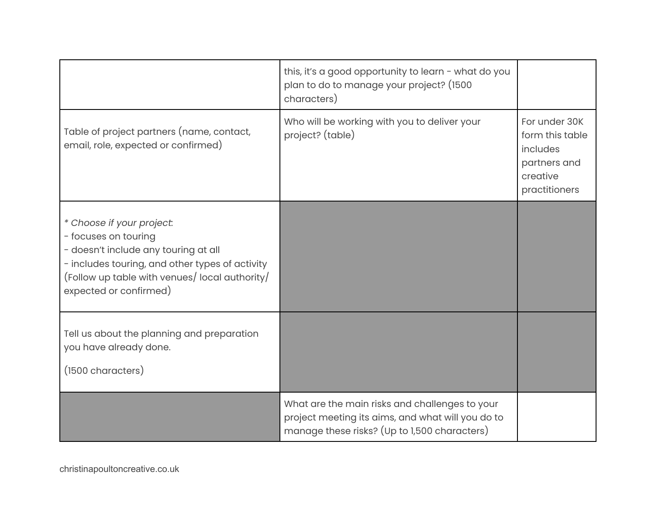|                                                                                                                                                                                                                         | this, it's a good opportunity to learn - what do you<br>plan to do to manage your project? (1500<br>characters)                                     |                                                                                           |
|-------------------------------------------------------------------------------------------------------------------------------------------------------------------------------------------------------------------------|-----------------------------------------------------------------------------------------------------------------------------------------------------|-------------------------------------------------------------------------------------------|
| Table of project partners (name, contact,<br>email, role, expected or confirmed)                                                                                                                                        | Who will be working with you to deliver your<br>project? (table)                                                                                    | For under 30K<br>form this table<br>includes<br>partners and<br>creative<br>practitioners |
| * Choose if your project.<br>- focuses on touring<br>- doesn't include any touring at all<br>- includes touring, and other types of activity<br>(Follow up table with venues/local authority/<br>expected or confirmed) |                                                                                                                                                     |                                                                                           |
| Tell us about the planning and preparation<br>you have already done.<br>(1500 characters)                                                                                                                               |                                                                                                                                                     |                                                                                           |
|                                                                                                                                                                                                                         | What are the main risks and challenges to your<br>project meeting its aims, and what will you do to<br>manage these risks? (Up to 1,500 characters) |                                                                                           |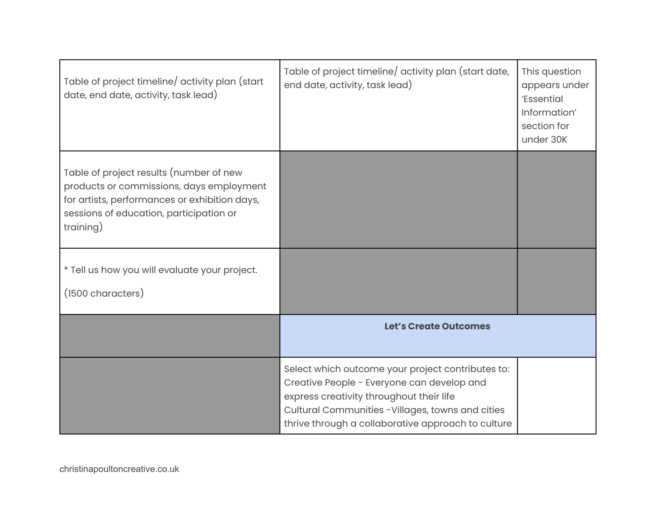| Table of project timeline/ activity plan (start<br>date, end date, activity, task lead)                                                                                                      | Table of project timeline/ activity plan (start date,<br>end date, activity, task lead)                                                                                                                                                               | This question<br>appears under<br>'Essential<br>Information'<br>section for<br>under 30K |
|----------------------------------------------------------------------------------------------------------------------------------------------------------------------------------------------|-------------------------------------------------------------------------------------------------------------------------------------------------------------------------------------------------------------------------------------------------------|------------------------------------------------------------------------------------------|
| Table of project results (number of new<br>products or commissions, days employment<br>for artists, performances or exhibition days,<br>sessions of education, participation or<br>training) |                                                                                                                                                                                                                                                       |                                                                                          |
| * Tell us how you will evaluate your project.<br>(1500 characters)                                                                                                                           |                                                                                                                                                                                                                                                       |                                                                                          |
|                                                                                                                                                                                              | <b>Let's Create Outcomes</b>                                                                                                                                                                                                                          |                                                                                          |
|                                                                                                                                                                                              | Select which outcome your project contributes to:<br>Creative People - Everyone can develop and<br>express creativity throughout their life<br>Cultural Communities -Villages, towns and cities<br>thrive through a collaborative approach to culture |                                                                                          |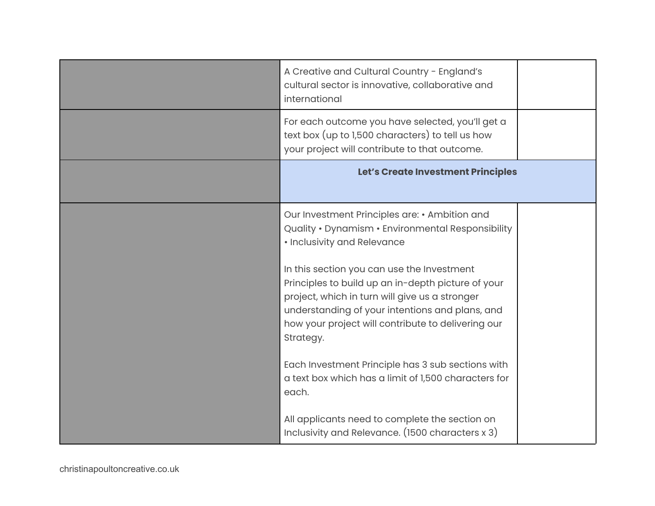| A Creative and Cultural Country - England's<br>cultural sector is innovative, collaborative and<br>international                                                                                                                      |  |
|---------------------------------------------------------------------------------------------------------------------------------------------------------------------------------------------------------------------------------------|--|
| For each outcome you have selected, you'll get a<br>text box (up to 1,500 characters) to tell us how<br>your project will contribute to that outcome.                                                                                 |  |
| Let's Create Investment Principles                                                                                                                                                                                                    |  |
| Our Investment Principles are: • Ambition and<br>Quality • Dynamism • Environmental Responsibility<br>• Inclusivity and Relevance<br>In this section you can use the Investment<br>Principles to build up an in-depth picture of your |  |
| project, which in turn will give us a stronger<br>understanding of your intentions and plans, and<br>how your project will contribute to delivering our<br>Strategy.                                                                  |  |
| Each Investment Principle has 3 sub sections with<br>a text box which has a limit of 1,500 characters for<br>each.                                                                                                                    |  |
| All applicants need to complete the section on<br>Inclusivity and Relevance. (1500 characters x 3)                                                                                                                                    |  |